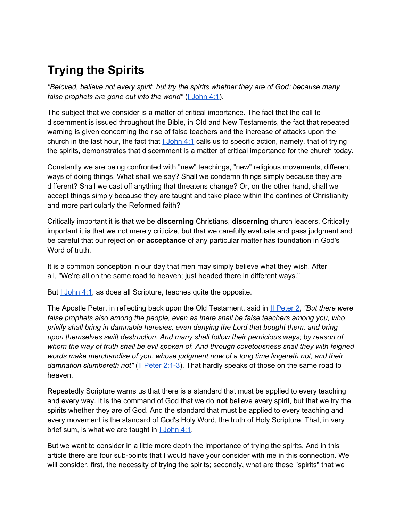# **Trying the Spirits**

*"Beloved, believe not every spirit, but try the spirits whether they are of God: because many false prophets are gone out into the world"* (*I [John 4:1](http://bible.gospelcom.net/bible?version=KJV&passage=I+John+4:1)*).

The subject that we consider is a matter of critical importance. The fact that the call to discernment is issued throughout the Bible, in Old and New Testaments, the fact that repeated warning is given concerning the rise of false teachers and the increase of attacks upon the church in the last hour, the fact that  $1 \text{ John } 4:1$  calls us to specific action, namely, that of trying the spirits, demonstrates that discernment is a matter of critical importance for the church today.

Constantly we are being confronted with "new" teachings, "new" religious movements, different ways of doing things. What shall we say? Shall we condemn things simply because they are different? Shall we cast off anything that threatens change? Or, on the other hand, shall we accept things simply because they are taught and take place within the confines of Christianity and more particularly the Reformed faith?

Critically important it is that we be **discerning** Christians, **discerning** church leaders. Critically important it is that we not merely criticize, but that we carefully evaluate and pass judgment and be careful that our rejection **or acceptance** of any particular matter has foundation in God's Word of truth.

It is a common conception in our day that men may simply believe what they wish. After all, "We're all on the same road to heaven; just headed there in different ways."

But *[I](http://bible.gospelcom.net/bible?version=KJV&passage=I+John+4:1) John 4:1*, as does all Scripture, teaches quite the opposite.

The Apostle Peter, in reflecting back upon the Old Testament, said in [II](http://bible.gospelcom.net/bible?version=KJV&passage=II+Peter+2) [Peter 2](http://bible.gospelcom.net/bible?version=KJV&passage=II+Peter+2), *"But there were false prophets also among the people, even as there shall be false teachers among you, who privily shall bring in damnable heresies, even denying the Lord that bought them, and bring upon themselves swift destruction. And many shall follow their pernicious ways; by reason of whom the way of truth shall be evil spoken of. And through covetousness shall they with feigned words make merchandise of you: whose judgment now of a long time lingereth not, and their damnation slumbereth not"* ([II](http://bible.gospelcom.net/bible?version=KJV&passage=II+Peter+2:1-3) [Peter 2:1-3](http://bible.gospelcom.net/bible?version=KJV&passage=II+Peter+2:1-3)). That hardly speaks of those on the same road to heaven.

Repeatedly Scripture warns us that there is a standard that must be applied to every teaching and every way. It is the command of God that we do **not** believe every spirit, but that we try the spirits whether they are of God. And the standard that must be applied to every teaching and every movement is the standard of God's Holy Word, the truth of Holy Scripture. That, in very brief sum, is what we are taught in  $1 \text{ John } 4:1$ .

But we want to consider in a little more depth the importance of trying the spirits. And in this article there are four sub-points that I would have your consider with me in this connection. We will consider, first, the necessity of trying the spirits; secondly, what are these "spirits" that we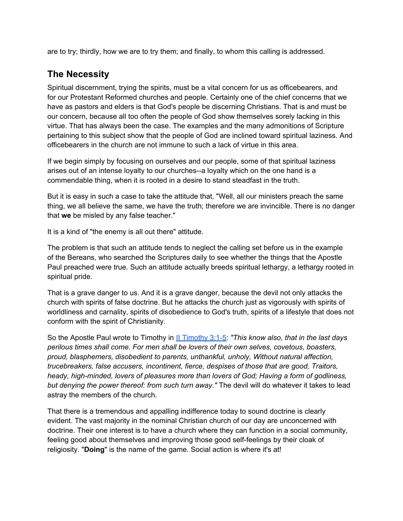are to try; thirdly, how we are to try them; and finally, to whom this calling is addressed.

# **The Necessity**

Spiritual discernment, trying the spirits, must be a vital concern for us as officebearers, and for our Protestant Reformed churches and people. Certainly one of the chief concerns that we have as pastors and elders is that God's people be discerning Christians. That is and must be our concern, because all too often the people of God show themselves sorely lacking in this virtue. That has always been the case. The examples and the many admonitions of Scripture pertaining to this subject show that the people of God are inclined toward spiritual laziness. And officebearers in the church are not immune to such a lack of virtue in this area.

If we begin simply by focusing on ourselves and our people, some of that spiritual laziness arises out of an intense loyalty to our churches--a loyalty which on the one hand is a commendable thing, when it is rooted in a desire to stand steadfast in the truth.

But it is easy in such a case to take the attitude that, "Well, all our ministers preach the same thing, we all believe the same, we have the truth; therefore we are invincible. There is no danger that **we** be misled by any false teacher."

It is a kind of "the enemy is all out there" attitude.

The problem is that such an attitude tends to neglect the calling set before us in the example of the Bereans, who searched the Scriptures daily to see whether the things that the Apostle Paul preached were true. Such an attitude actually breeds spiritual lethargy, a lethargy rooted in spiritual pride.

That is a grave danger to us. And it is a grave danger, because the devil not only attacks the church with spirits of false doctrine. But he attacks the church just as vigorously with spirits of worldliness and carnality, spirits of disobedience to God's truth, spirits of a lifestyle that does not conform with the spirit of Christianity.

So the Apostle Paul wrote to Timothy in [II](http://bible.gospelcom.net/bible?version=KJV&passage=II+Timothy+3:1-5) [Timothy 3:1-5](http://bible.gospelcom.net/bible?version=KJV&passage=II+Timothy+3:1-5): *"This know also, that in the last days perilous times shall come. For men shall be lovers of their own selves, covetous, boasters, proud, blasphemers, disobedient to parents, unthankful, unholy, Without natural affection, trucebreakers, false accusers, incontinent, fierce, despises of those that are good, Traitors, heady, high-minded, lovers of pleasures more than lovers of God; Having a form of godliness, but denying the power thereof: from such turn away."* The devil will do whatever it takes to lead astray the members of the church.

That there is a tremendous and appalling indifference today to sound doctrine is clearly evident. The vast majority in the nominal Christian church of our day are unconcerned with doctrine. Their one interest is to have a church where they can function in a social community, feeling good about themselves and improving those good self-feelings by their cloak of religiosity. "**Doing**" is the name of the game. Social action is where it's at!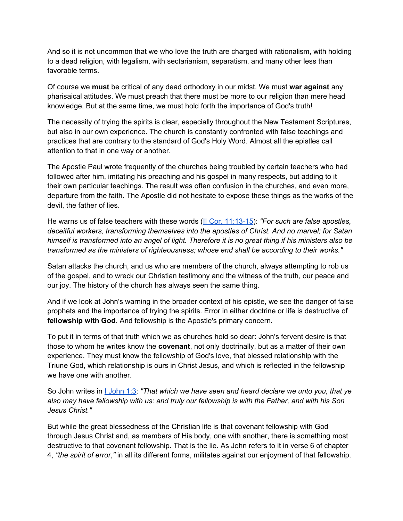And so it is not uncommon that we who love the truth are charged with rationalism, with holding to a dead religion, with legalism, with sectarianism, separatism, and many other less than favorable terms.

Of course we **must** be critical of any dead orthodoxy in our midst. We must **war against** any pharisaical attitudes. We must preach that there must be more to our religion than mere head knowledge. But at the same time, we must hold forth the importance of God's truth!

The necessity of trying the spirits is clear, especially throughout the New Testament Scriptures, but also in our own experience. The church is constantly confronted with false teachings and practices that are contrary to the standard of God's Holy Word. Almost all the epistles call attention to that in one way or another.

The Apostle Paul wrote frequently of the churches being troubled by certain teachers who had followed after him, imitating his preaching and his gospel in many respects, but adding to it their own particular teachings. The result was often confusion in the churches, and even more, departure from the faith. The Apostle did not hesitate to expose these things as the works of the devil, the father of lies.

He warns us of false teachers with these words ([II](http://bible.gospelcom.net/bible?version=KJV&passage=II+Cor+11:13-15) [Cor. 11:13-15](http://bible.gospelcom.net/bible?version=KJV&passage=II+Cor+11:13-15)): *"For such are false apostles, deceitful workers, transforming themselves into the apostles of Christ. And no marvel; for Satan himself is transformed into an angel of light. Therefore it is no great thing if his ministers also be transformed as the ministers of righteousness; whose end shall be according to their works."*

Satan attacks the church, and us who are members of the church, always attempting to rob us of the gospel, and to wreck our Christian testimony and the witness of the truth, our peace and our joy. The history of the church has always seen the same thing.

And if we look at John's warning in the broader context of his epistle, we see the danger of false prophets and the importance of trying the spirits. Error in either doctrine or life is destructive of **fellowship with God**. And fellowship is the Apostle's primary concern.

To put it in terms of that truth which we as churches hold so dear: John's fervent desire is that those to whom he writes know the **covenant**, not only doctrinally, but as a matter of their own experience. They must know the fellowship of God's love, that blessed relationship with the Triune God, which relationship is ours in Christ Jesus, and which is reflected in the fellowship we have one with another

So John writes in [I](http://bible.gospelcom.net/bible?version=KJV&passage=I+John+1:3) [John 1:3](http://bible.gospelcom.net/bible?version=KJV&passage=I+John+1:3): *"That which we have seen and heard declare we unto you, that ye also may have fellowship with us: and truly our fellowship is with the Father, and with his Son Jesus Christ."*

But while the great blessedness of the Christian life is that covenant fellowship with God through Jesus Christ and, as members of His body, one with another, there is something most destructive to that covenant fellowship. That is the lie. As John refers to it in verse 6 of chapter 4, *"the spirit of error*,*"* in all its different forms, militates against our enjoyment of that fellowship.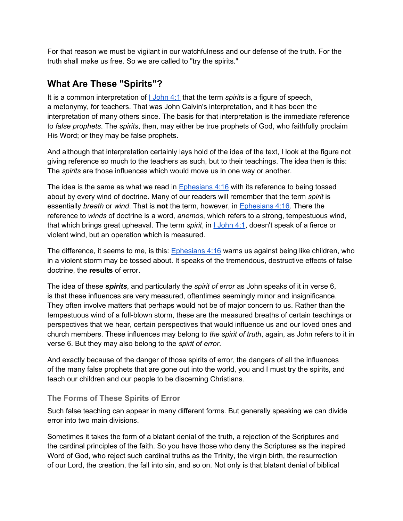For that reason we must be vigilant in our watchfulness and our defense of the truth. For the truth shall make us free. So we are called to "try the spirits."

### **What Are These "Spirits"?**

[I](http://bible.gospelcom.net/bible?version=KJV&passage=I+John+4:1)t is a common interpretation of **L** [John 4:1](http://bible.gospelcom.net/bible?version=KJV&passage=I+John+4:1) that the term *spirits* is a figure of speech, a metonymy, for teachers. That was John Calvin's interpretation, and it has been the interpretation of many others since. The basis for that interpretation is the immediate reference to *false prophets*. The *spirits*, then, may either be true prophets of God, who faithfully proclaim His Word; or they may be false prophets.

And although that interpretation certainly lays hold of the idea of the text, I look at the figure not giving reference so much to the teachers as such, but to their teachings. The idea then is this: The *spirits* are those influences which would move us in one way or another.

The idea is the same as what we read in Ephesians  $4:16$  with its reference to being tossed about by every wind of doctrine. Many of our readers will remember that the term *spirit* is essentially *breath* or *wind*. That is **not** the term, however, in [Ephesians 4:16](http://bible.gospelcom.net/bible?version=KJV&passage=Ephesians+4:16). There the reference to *winds* of doctrine is a word, *anemos*, which refers to a strong, tempestuous wind, that which brings great upheaval. The term *spirit*, in [I](http://bible.gospelcom.net/bible?version=KJV&passage=I+John+4:1) [John 4:1,](http://bible.gospelcom.net/bible?version=KJV&passage=I+John+4:1) doesn't speak of a fierce or violent wind, but an operation which is measured.

The difference, it seems to me, is this: **Ephesians 4:16** warns us against being like children, who in a violent storm may be tossed about. It speaks of the tremendous, destructive effects of false doctrine, the **results** of error.

The idea of these *spirits*, and particularly the *spirit of error* as John speaks of it in verse 6, is that these influences are very measured, oftentimes seemingly minor and insignificance. They often involve matters that perhaps would not be of major concern to us. Rather than the tempestuous wind of a full-blown storm, these are the measured breaths of certain teachings or perspectives that we hear, certain perspectives that would influence us and our loved ones and church members. These influences may belong to *the spirit of truth*, again, as John refers to it in verse 6. But they may also belong to the *spirit of error*.

And exactly because of the danger of those spirits of error, the dangers of all the influences of the many false prophets that are gone out into the world, you and I must try the spirits, and teach our children and our people to be discerning Christians.

#### **The Forms of These Spirits of Error**

Such false teaching can appear in many different forms. But generally speaking we can divide error into two main divisions.

Sometimes it takes the form of a blatant denial of the truth, a rejection of the Scriptures and the cardinal principles of the faith. So you have those who deny the Scriptures as the inspired Word of God, who reject such cardinal truths as the Trinity, the virgin birth, the resurrection of our Lord, the creation, the fall into sin, and so on. Not only is that blatant denial of biblical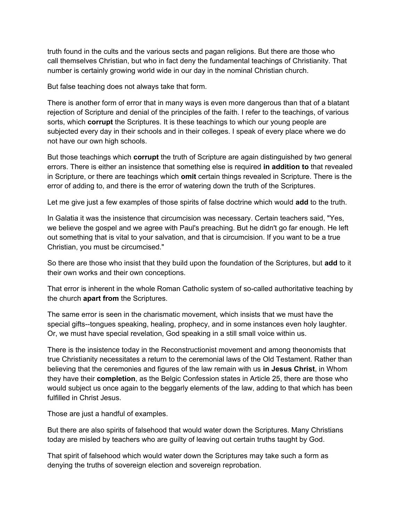truth found in the cults and the various sects and pagan religions. But there are those who call themselves Christian, but who in fact deny the fundamental teachings of Christianity. That number is certainly growing world wide in our day in the nominal Christian church.

But false teaching does not always take that form.

There is another form of error that in many ways is even more dangerous than that of a blatant rejection of Scripture and denial of the principles of the faith. I refer to the teachings, of various sorts, which **corrupt** the Scriptures. It is these teachings to which our young people are subjected every day in their schools and in their colleges. I speak of every place where we do not have our own high schools.

But those teachings which **corrupt** the truth of Scripture are again distinguished by two general errors. There is either an insistence that something else is required **in addition to** that revealed in Scripture, or there are teachings which **omit** certain things revealed in Scripture. There is the error of adding to, and there is the error of watering down the truth of the Scriptures.

Let me give just a few examples of those spirits of false doctrine which would **add** to the truth.

In Galatia it was the insistence that circumcision was necessary. Certain teachers said, "Yes, we believe the gospel and we agree with Paul's preaching. But he didn't go far enough. He left out something that is vital to your salvation, and that is circumcision. If you want to be a true Christian, you must be circumcised."

So there are those who insist that they build upon the foundation of the Scriptures, but **add** to it their own works and their own conceptions.

That error is inherent in the whole Roman Catholic system of so-called authoritative teaching by the church **apart from** the Scriptures.

The same error is seen in the charismatic movement, which insists that we must have the special gifts--tongues speaking, healing, prophecy, and in some instances even holy laughter. Or, we must have special revelation, God speaking in a still small voice within us.

There is the insistence today in the Reconstructionist movement and among theonomists that true Christianity necessitates a return to the ceremonial laws of the Old Testament. Rather than believing that the ceremonies and figures of the law remain with us **in Jesus Christ**, in Whom they have their **completion**, as the Belgic Confession states in Article 25, there are those who would subject us once again to the beggarly elements of the law, adding to that which has been fulfilled in Christ Jesus.

Those are just a handful of examples.

But there are also spirits of falsehood that would water down the Scriptures. Many Christians today are misled by teachers who are guilty of leaving out certain truths taught by God.

That spirit of falsehood which would water down the Scriptures may take such a form as denying the truths of sovereign election and sovereign reprobation.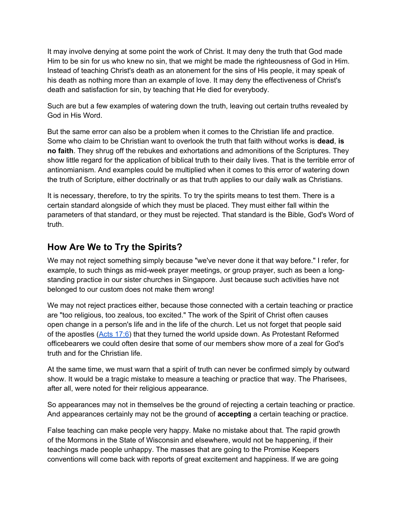It may involve denying at some point the work of Christ. It may deny the truth that God made Him to be sin for us who knew no sin, that we might be made the righteousness of God in Him. Instead of teaching Christ's death as an atonement for the sins of His people, it may speak of his death as nothing more than an example of love. It may deny the effectiveness of Christ's death and satisfaction for sin, by teaching that He died for everybody.

Such are but a few examples of watering down the truth, leaving out certain truths revealed by God in His Word.

But the same error can also be a problem when it comes to the Christian life and practice. Some who claim to be Christian want to overlook the truth that faith without works is **dead**, **is no faith**. They shrug off the rebukes and exhortations and admonitions of the Scriptures. They show little regard for the application of biblical truth to their daily lives. That is the terrible error of antinomianism. And examples could be multiplied when it comes to this error of watering down the truth of Scripture, either doctrinally or as that truth applies to our daily walk as Christians.

It is necessary, therefore, to try the spirits. To try the spirits means to test them. There is a certain standard alongside of which they must be placed. They must either fall within the parameters of that standard, or they must be rejected. That standard is the Bible, God's Word of truth.

## **How Are We to Try the Spirits?**

We may not reject something simply because "we've never done it that way before." I refer, for example, to such things as mid-week prayer meetings, or group prayer, such as been a longstanding practice in our sister churches in Singapore. Just because such activities have not belonged to our custom does not make them wrong!

We may not reject practices either, because those connected with a certain teaching or practice are "too religious, too zealous, too excited." The work of the Spirit of Christ often causes open change in a person's life and in the life of the church. Let us not forget that people said of the apostles [\(Acts 17:6](http://bible.gospelcom.net/bible?version=KJV&passage=Acts+17:6)) that they turned the world upside down. As Protestant Reformed officebearers we could often desire that some of our members show more of a zeal for God's truth and for the Christian life.

At the same time, we must warn that a spirit of truth can never be confirmed simply by outward show. It would be a tragic mistake to measure a teaching or practice that way. The Pharisees, after all, were noted for their religious appearance.

So appearances may not in themselves be the ground of rejecting a certain teaching or practice. And appearances certainly may not be the ground of **accepting** a certain teaching or practice.

False teaching can make people very happy. Make no mistake about that. The rapid growth of the Mormons in the State of Wisconsin and elsewhere, would not be happening, if their teachings made people unhappy. The masses that are going to the Promise Keepers conventions will come back with reports of great excitement and happiness. If we are going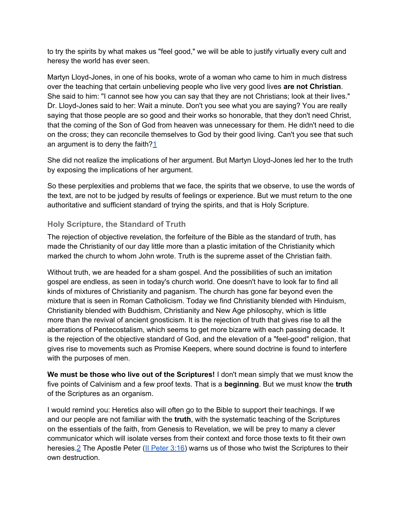to try the spirits by what makes us "feel good," we will be able to justify virtually every cult and heresy the world has ever seen.

Martyn Lloyd-Jones, in one of his books, wrote of a woman who came to him in much distress over the teaching that certain unbelieving people who live very good lives **are not Christian**. She said to him: "I cannot see how you can say that they are not Christians; look at their lives." Dr. Lloyd-Jones said to her: Wait a minute. Don't you see what you are saying? You are really saying that those people are so good and their works so honorable, that they don't need Christ, that the coming of the Son of God from heaven was unnecessary for them. He didn't need to die on the cross; they can reconcile themselves to God by their good living. Can't you see that such an argument is to deny the faith? $1$ 

She did not realize the implications of her argument. But Martyn Lloyd-Jones led her to the truth by exposing the implications of her argument.

So these perplexities and problems that we face, the spirits that we observe, to use the words of the text, are not to be judged by results of feelings or experience. But we must return to the one authoritative and sufficient standard of trying the spirits, and that is Holy Scripture.

#### **Holy Scripture, the Standard of Truth**

The rejection of objective revelation, the forfeiture of the Bible as the standard of truth, has made the Christianity of our day little more than a plastic imitation of the Christianity which marked the church to whom John wrote. Truth is the supreme asset of the Christian faith.

Without truth, we are headed for a sham gospel. And the possibilities of such an imitation gospel are endless, as seen in today's church world. One doesn't have to look far to find all kinds of mixtures of Christianity and paganism. The church has gone far beyond even the mixture that is seen in Roman Catholicism. Today we find Christianity blended with Hinduism, Christianity blended with Buddhism, Christianity and New Age philosophy, which is little more than the revival of ancient gnosticism. It is the rejection of truth that gives rise to all the aberrations of Pentecostalism, which seems to get more bizarre with each passing decade. It is the rejection of the objective standard of God, and the elevation of a "feel-good" religion, that gives rise to movements such as Promise Keepers, where sound doctrine is found to interfere with the purposes of men.

**We must be those who live out of the Scriptures!** I don't mean simply that we must know the five points of Calvinism and a few proof texts. That is a **beginning**. But we must know the **truth** of the Scriptures as an organism.

I would remind you: Heretics also will often go to the Bible to support their teachings. If we and our people are not familiar with the **truth**, with the systematic teaching of the Scriptures on the essentials of the faith, from Genesis to Revelation, we will be prey to many a clever communicator which will isolate verses from their context and force those texts to fit their own heresies.<sup>2</sup> The Apostle Peter ([II](http://bible.gospelcom.net/bible?version=KJV&passage=II+Peter+3:16) [Peter 3:16](http://bible.gospelcom.net/bible?version=KJV&passage=II+Peter+3:16)) warns us of those who twist the Scriptures to their own destruction.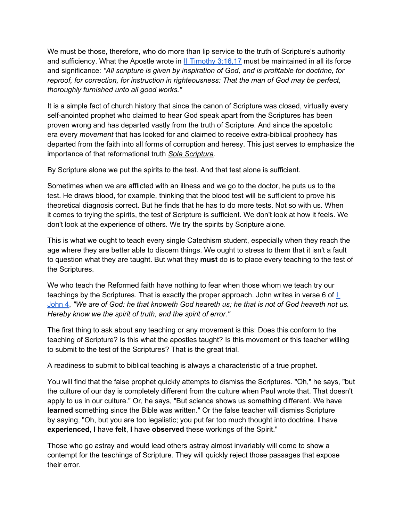We must be those, therefore, who do more than lip service to the truth of Scripture's authority and sufficiency. What the Apostle wrote in [II](http://bible.gospelcom.net/bible?version=KJV&passage=II+Timothy+3:16,17) [Timothy 3:16,17](http://bible.gospelcom.net/bible?version=KJV&passage=II+Timothy+3:16,17) must be maintained in all its force and significance: *"All scripture is given by inspiration of God, and is profitable for doctrine, for reproof, for correction, for instruction in righteousness: That the man of God may be perfect, thoroughly furnished unto all good works."*

It is a simple fact of church history that since the canon of Scripture was closed, virtually every self-anointed prophet who claimed to hear God speak apart from the Scriptures has been proven wrong and has departed vastly from the truth of Scripture. And since the apostolic era every *movement* that has looked for and claimed to receive extra-biblical prophecy has departed from the faith into all forms of corruption and heresy. This just serves to emphasize the importance of that reformational truth *Sola Scriptura.*

By Scripture alone we put the spirits to the test. And that test alone is sufficient.

Sometimes when we are afflicted with an illness and we go to the doctor, he puts us to the test. He draws blood, for example, thinking that the blood test will be sufficient to prove his theoretical diagnosis correct. But he finds that he has to do more tests. Not so with us. When it comes to trying the spirits, the test of Scripture is sufficient. We don't look at how it feels. We don't look at the experience of others. We try the spirits by Scripture alone.

This is what we ought to teach every single Catechism student, especially when they reach the age where they are better able to discern things. We ought to stress to them that it isn't a fault to question what they are taught. But what they **must** do is to place every teaching to the test of the Scriptures.

We who teach the Reformed faith have nothing to fear when those whom we teach try our teachings by the Scriptures. That is exactly the proper approach. John writes in verse 6 of  $\Gamma$ [John 4](http://bible.gospelcom.net/bible?version=KJV&passage=I+John+4), *"We are of God: he that knoweth God heareth us; he that is not of God heareth not us. Hereby know we the spirit of truth, and the spirit of error."*

The first thing to ask about any teaching or any movement is this: Does this conform to the teaching of Scripture? Is this what the apostles taught? Is this movement or this teacher willing to submit to the test of the Scriptures? That is the great trial.

A readiness to submit to biblical teaching is always a characteristic of a true prophet.

You will find that the false prophet quickly attempts to dismiss the Scriptures. "Oh," he says, "but the culture of our day is completely different from the culture when Paul wrote that. That doesn't apply to us in our culture." Or, he says, "But science shows us something different. We have **learned** something since the Bible was written." Or the false teacher will dismiss Scripture by saying, "Oh, but you are too legalistic; you put far too much thought into doctrine. **I** have **experienced**, **I** have **felt**, **I** have **observed** these workings of the Spirit."

Those who go astray and would lead others astray almost invariably will come to show a contempt for the teachings of Scripture. They will quickly reject those passages that expose their error.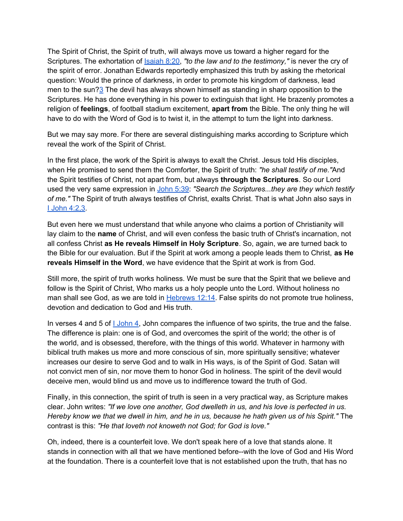The Spirit of Christ, the Spirit of truth, will always move us toward a higher regard for the Scriptures. The exhortation of **Isaiah 8:20**, "to the law and to the testimony," is never the cry of the spirit of error. Jonathan Edwards reportedly emphasized this truth by asking the rhetorical question: Would the prince of darkness, in order to promote his kingdom of darkness, lead men to the sun?[3](http://www.prca.org/articles/article_10.html#f3) The devil has always shown himself as standing in sharp opposition to the Scriptures. He has done everything in his power to extinguish that light. He brazenly promotes a religion of **feelings**, of football stadium excitement, **apart from** the Bible. The only thing he will have to do with the Word of God is to twist it, in the attempt to turn the light into darkness.

But we may say more. For there are several distinguishing marks according to Scripture which reveal the work of the Spirit of Christ.

In the first place, the work of the Spirit is always to exalt the Christ. Jesus told His disciples, when He promised to send them the Comforter, the Spirit of truth: *"he shall testify of me."*And the Spirit testifies of Christ, not apart from, but always **through the Scriptures**. So our Lord used the very same expression in [John 5:39](http://bible.gospelcom.net/bible?version=KJV&passage=John+5:39): *"Search the Scriptures...they are they which testify of me."* The Spirit of truth always testifies of Christ, exalts Christ. That is what John also says in [I](http://bible.gospelcom.net/bible?version=KJV&passage=I+John+4:2,3) [John 4:2,3](http://bible.gospelcom.net/bible?version=KJV&passage=I+John+4:2,3).

But even here we must understand that while anyone who claims a portion of Christianity will lay claim to the **name** of Christ, and will even confess the basic truth of Christ's incarnation, not all confess Christ **as He reveals Himself in Holy Scripture**. So, again, we are turned back to the Bible for our evaluation. But if the Spirit at work among a people leads them to Christ, **as He reveals Himself in the Word**, we have evidence that the Spirit at work is from God.

Still more, the spirit of truth works holiness. We must be sure that the Spirit that we believe and follow is the Spirit of Christ, Who marks us a holy people unto the Lord. Without holiness no man shall see God, as we are told in [Hebrews 12:14.](http://bible.gospelcom.net/bible?version=KJV&passage=Hebrews+12:14) False spirits do not promote true holiness, devotion and dedication to God and His truth.

In verses 4 and 5 of [I](http://bible.gospelcom.net/bible?version=KJV&passage=I+John+4) [John 4,](http://bible.gospelcom.net/bible?version=KJV&passage=I+John+4) John compares the influence of two spirits, the true and the false. The difference is plain: one is of God, and overcomes the spirit of the world; the other is of the world, and is obsessed, therefore, with the things of this world. Whatever in harmony with biblical truth makes us more and more conscious of sin, more spiritually sensitive; whatever increases our desire to serve God and to walk in His ways, is of the Spirit of God. Satan will not convict men of sin, nor move them to honor God in holiness. The spirit of the devil would deceive men, would blind us and move us to indifference toward the truth of God.

Finally, in this connection, the spirit of truth is seen in a very practical way, as Scripture makes clear. John writes: *"If we love one another, God dwelleth in us, and his love is perfected in us. Hereby know we that we dwell in him, and he in us, because he hath given us of his Spirit."* The contrast is this: *"He that loveth not knoweth not God; for God is love."*

Oh, indeed, there is a counterfeit love. We don't speak here of a love that stands alone. It stands in connection with all that we have mentioned before--with the love of God and His Word at the foundation. There is a counterfeit love that is not established upon the truth, that has no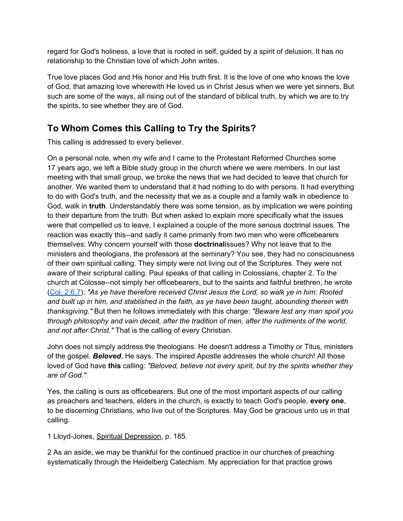regard for God's holiness, a love that is rooted in self, guided by a spirit of delusion. It has no relationship to the Christian love of which John writes.

True love places God and His honor and His truth first. It is the love of one who knows the love of God, that amazing love wherewith He loved us in Christ Jesus when we were yet sinners. But such are some of the ways, all rising out of the standard of biblical truth, by which we are to try the spirits, to see whether they are of God.

# **To Whom Comes this Calling to Try the Spirits?**

This calling is addressed to every believer.

On a personal note, when my wife and I came to the Protestant Reformed Churches some 17 years ago, we left a Bible study group in the church where we were members. In our last meeting with that small group, we broke the news that we had decided to leave that church for another. We wanted them to understand that it had nothing to do with persons. It had everything to do with God's truth, and the necessity that we as a couple and a family walk in obedience to God, walk in **truth**. Understandably there was some tension, as by implication we were pointing to their departure from the truth. But when asked to explain more specifically what the issues were that compelled us to leave, I explained a couple of the more serious doctrinal issues. The reaction was exactly this--and sadly it came primarily from two men who were officebearers themselves: Why concern yourself with those **doctrinal**issues? Why not leave that to the ministers and theologians, the professors at the seminary? You see, they had no consciousness of their own spiritual calling. They simply were not living out of the Scriptures. They were not aware of their scriptural calling. Paul speaks of that calling in Colossians, chapter 2. To the church at Colosse--not simply her officebearers, but to the saints and faithful brethren, he wrote ([Col. 2:6,7\)](http://bible.gospelcom.net/bible?version=KJV&passage=Col+2:6,7): *"As ye have therefore received Christ Jesus the Lord, so walk ye in him: Rooted and built up in him, and stablished in the faith, as ye have been taught, abounding therein with thanksgiving."* But then he follows immediately with this charge: *"Beware lest any man spoil you through philosophy and vain deceit, after the tradition of men, after the rudiments of the world, and not after Christ."* That is the calling of every Christian.

John does not simply address the theologians. He doesn't address a Timothy or Titus, ministers of the gospel. *Beloved*, He says. The inspired Apostle addresses the whole church! All those loved of God have **this** calling: *"Beloved, believe not every spirit, but try the spirits whether they are of God."*

Yes, the calling is ours as officebearers. But one of the most important aspects of our calling as preachers and teachers, elders in the church, is exactly to teach God's people, **every one**, to be discerning Christians, who live out of the Scriptures. May God be gracious unto us in that calling.

1 Lloyd-Jones, Spiritual Depression, p. 185.

2 As an aside, we may be thankful for the continued practice in our churches of preaching systematically through the Heidelberg Catechism. My appreciation for that practice grows